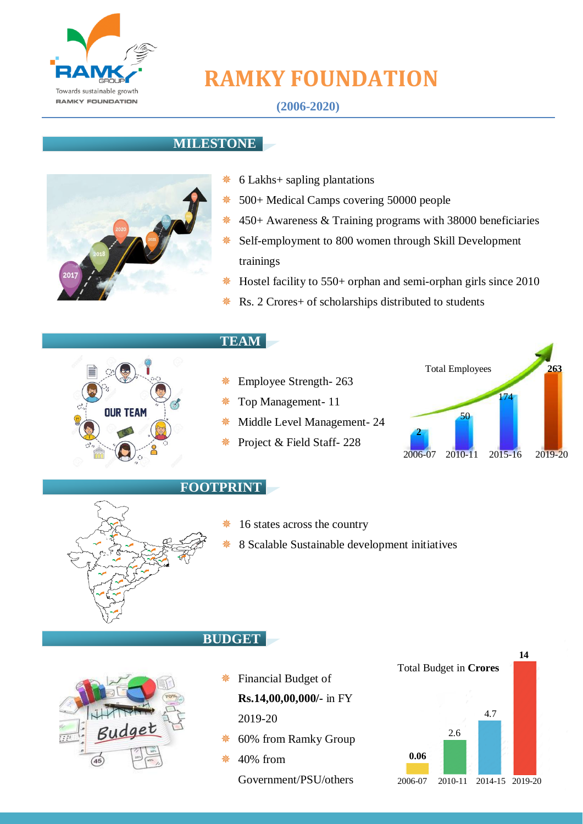

# **RAMKY FOUNDATION**

#### **MILESTONE**



- 6 Lakhs+ sapling plantations
- 500+ Medical Camps covering 50000 people
- $*$  450+ Awareness & Training programs with 38000 beneficiaries
- $*$  Self-employment to 800 women through Skill Development trainings
- Hostel facility to 550+ orphan and semi-orphan girls since 2010
	- Rs. 2 Crores+ of scholarships distributed to students



#### **TEAM**

- Employee Strength- 263
- Top Management- 11
- Middle Level Management- 24
- Project & Field Staff- 228





#### **FOOTPRINT**

**BUDGET**

- 16 states across the country
- 8 Scalable Sustainable development initiatives



## Financial Budget of **Rs.14,00,00,000/-** in FY

2019-20

- 60% from Ramky Group
- 40% from Government/PSU/others